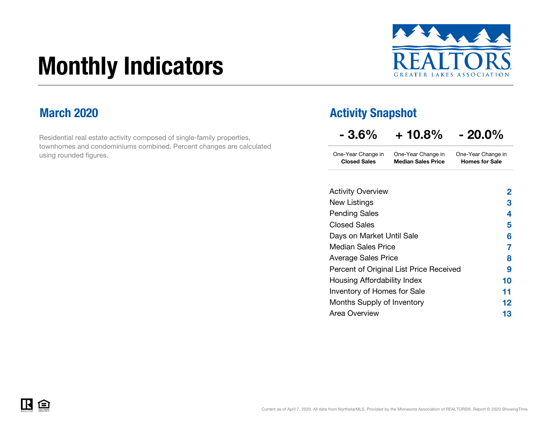# Monthly Indicators



### March 2020

Residential real estate activity composed of single-family properties, townhomes and condominiums combined. Percent changes are calculated using rounded figures.

### Activity Snapshot

| $-3.6\%$                                  | $+10.8\%$                                       | $-20.0\%$                                   |
|-------------------------------------------|-------------------------------------------------|---------------------------------------------|
| One-Year Change in<br><b>Closed Sales</b> | One-Year Change in<br><b>Median Sales Price</b> | One-Year Change in<br><b>Homes for Sale</b> |
|                                           |                                                 |                                             |

| <b>Activity Overview</b>                | 2  |
|-----------------------------------------|----|
| New Listings                            | 3  |
| <b>Pending Sales</b>                    | 4  |
| <b>Closed Sales</b>                     | 5  |
| Days on Market Until Sale               | 6  |
| <b>Median Sales Price</b>               | 7  |
| <b>Average Sales Price</b>              | 8  |
| Percent of Original List Price Received | 9  |
| Housing Affordability Index             | 10 |
| Inventory of Homes for Sale             | 11 |
| Months Supply of Inventory              | 12 |
| Area Overview                           | 13 |

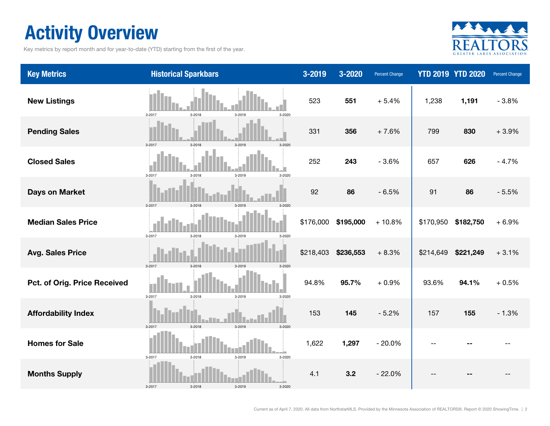### Activity Overview

Key metrics by report month and for year-to-date (YTD) starting from the first of the year.



| <b>Key Metrics</b>           | <b>Historical Sparkbars</b>                  | 3-2019    | 3-2020    | <b>Percent Change</b> |           | <b>YTD 2019 YTD 2020</b> | <b>Percent Change</b> |
|------------------------------|----------------------------------------------|-----------|-----------|-----------------------|-----------|--------------------------|-----------------------|
| <b>New Listings</b>          | 3-2017<br>$3 - 2018$<br>3-2019<br>3-2020     | 523       | 551       | $+5.4%$               | 1,238     | 1,191                    | $-3.8%$               |
| <b>Pending Sales</b>         | $3 - 2018$<br>3-2017<br>3-2019<br>3-2020     | 331       | 356       | $+7.6%$               | 799       | 830                      | $+3.9%$               |
| <b>Closed Sales</b>          | 3-2017<br>3-2020<br>3-2018<br>3-2019         | 252       | 243       | $-3.6%$               | 657       | 626                      | $-4.7%$               |
| <b>Days on Market</b>        | 3-2018<br>3-2017<br>$3-2019$<br>$3 - 2020$   | 92        | 86        | $-6.5%$               | 91        | 86                       | $-5.5%$               |
| <b>Median Sales Price</b>    | 3-2017<br>$3 - 2018$<br>3-2019<br>3-2020     | \$176,000 | \$195,000 | $+10.8%$              | \$170,950 | \$182,750                | $+6.9%$               |
| <b>Avg. Sales Price</b>      | $3 - 2017$<br>$3 - 2018$<br>3-2019<br>3-2020 | \$218,403 | \$236,553 | $+8.3%$               | \$214,649 | \$221,249                | $+3.1%$               |
| Pct. of Orig. Price Received | 3-2017<br>$3 - 2018$<br>3-2019<br>3-2020     | 94.8%     | 95.7%     | $+0.9%$               | 93.6%     | 94.1%                    | $+0.5%$               |
| <b>Affordability Index</b>   | 3-2017<br>$3 - 2018$<br>$3 - 2019$<br>3-2020 | 153       | 145       | $-5.2%$               | 157       | 155                      | $-1.3%$               |
| <b>Homes for Sale</b>        | 3-2017<br>$3 - 2018$<br>3-2019<br>3-2020     | 1,622     | 1,297     | $-20.0%$              |           |                          |                       |
| <b>Months Supply</b>         | 3-2017<br>3-2018<br>3-2019<br>3-2020         | 4.1       | 3.2       | $-22.0%$              |           |                          |                       |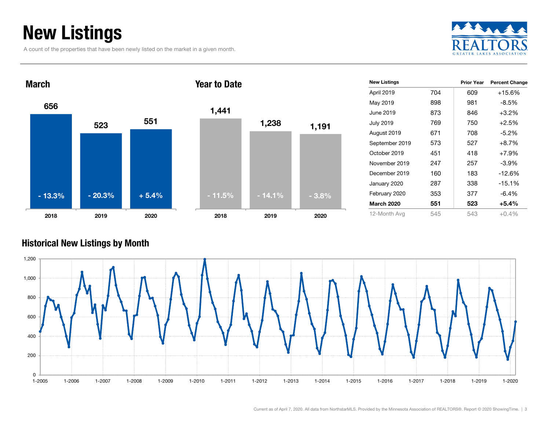## New Listings

A count of the properties that have been newly listed on the market in a given month.





| <b>New Listings</b> |     | <b>Prior Year</b> | <b>Percent Change</b> |
|---------------------|-----|-------------------|-----------------------|
| April 2019          | 704 | 609               | $+15.6\%$             |
| May 2019            | 898 | 981               | -8.5%                 |
| June 2019           | 873 | 846               | $+3.2%$               |
| <b>July 2019</b>    | 769 | 750               | $+2.5%$               |
| August 2019         | 671 | 708               | $-5.2\%$              |
| September 2019      | 573 | 527               | $+8.7%$               |
| October 2019        | 451 | 418               | $+7.9%$               |
| November 2019       | 247 | 257               | -3.9%                 |
| December 2019       | 160 | 183               | $-12.6%$              |
| January 2020        | 287 | 338               | $-15.1%$              |
| February 2020       | 353 | 377               | $-6.4\%$              |
| <b>March 2020</b>   | 551 | 523               | $+5.4%$               |
| 12-Month Avg        | 545 | 543               | $+0.4%$               |

#### Historical New Listings by Month

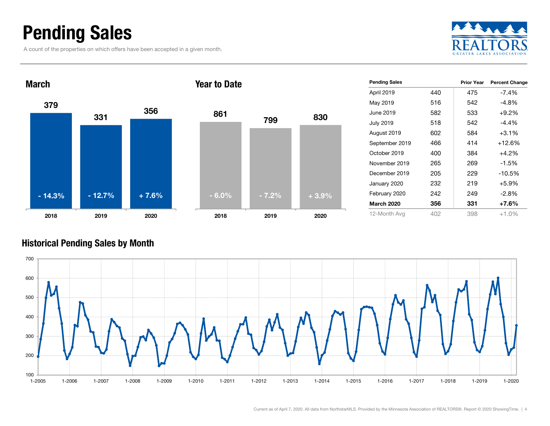### Pending Sales

A count of the properties on which offers have been accepted in a given month.





| <b>Pending Sales</b> |     | <b>Prior Year</b> | <b>Percent Change</b> |
|----------------------|-----|-------------------|-----------------------|
| April 2019           | 440 | 475               | -7.4%                 |
| May 2019             | 516 | 542               | -4.8%                 |
| June 2019            | 582 | 533               | $+9.2%$               |
| <b>July 2019</b>     | 518 | 542               | $-4.4%$               |
| August 2019          | 602 | 584               | $+3.1%$               |
| September 2019       | 466 | 414               | $+12.6%$              |
| October 2019         | 400 | 384               | $+4.2%$               |
| November 2019        | 265 | 269               | $-1.5%$               |
| December 2019        | 205 | 229               | $-10.5%$              |
| January 2020         | 232 | 219               | $+5.9%$               |
| February 2020        | 242 | 249               | $-2.8%$               |
| <b>March 2020</b>    | 356 | 331               | $+7.6%$               |
| 12-Month Avg         | 402 | 398               | $+1.0\%$              |

#### Historical Pending Sales by Month

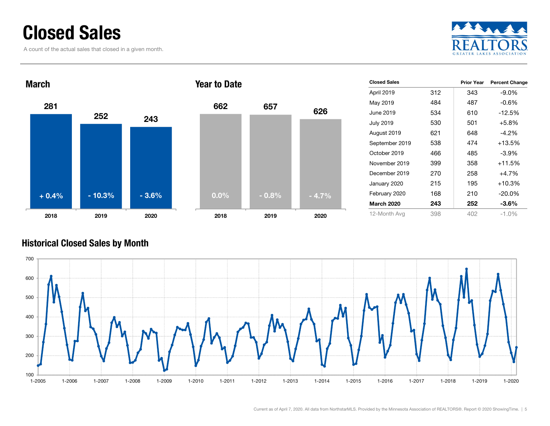### Closed Sales

A count of the actual sales that closed in a given month.





| <b>Closed Sales</b> |     | <b>Prior Year</b> | <b>Percent Change</b> |
|---------------------|-----|-------------------|-----------------------|
| April 2019          | 312 | 343               | $-9.0\%$              |
| May 2019            | 484 | 487               | -0.6%                 |
| June 2019           | 534 | 610               | $-12.5%$              |
| July 2019           | 530 | 501               | +5.8%                 |
| August 2019         | 621 | 648               | $-4.2\%$              |
| September 2019      | 538 | 474               | $+13.5%$              |
| October 2019        | 466 | 485               | -3.9%                 |
| November 2019       | 399 | 358               | $+11.5%$              |
| December 2019       | 270 | 258               | $+4.7%$               |
| January 2020        | 215 | 195               | +10.3%                |
| February 2020       | 168 | 210               | $-20.0\%$             |
| <b>March 2020</b>   | 243 | 252               | $-3.6%$               |
| 12-Month Avg        | 398 | 402               | $-1.0\%$              |

#### Historical Closed Sales by Month

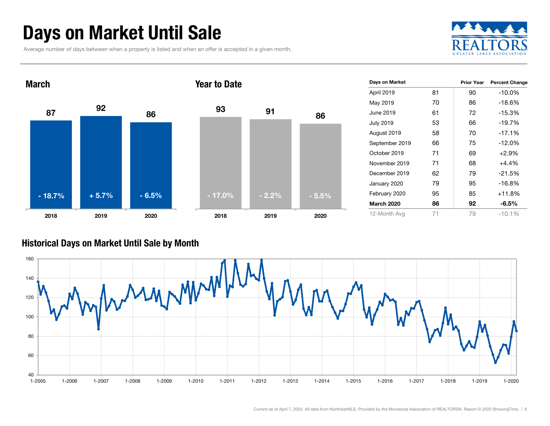## Days on Market Until Sale

Average number of days between when a property is listed and when an offer is accepted in a given month.





| Days on Market    |    | <b>Prior Year</b> | <b>Percent Change</b> |
|-------------------|----|-------------------|-----------------------|
| April 2019        | 81 | 90                | $-10.0\%$             |
| May 2019          | 70 | 86                | -18.6%                |
| June 2019         | 61 | 72                | $-15.3%$              |
| <b>July 2019</b>  | 53 | 66                | $-19.7%$              |
| August 2019       | 58 | 70                | $-17.1%$              |
| September 2019    | 66 | 75                | $-12.0\%$             |
| October 2019      | 71 | 69                | $+2.9\%$              |
| November 2019     | 71 | 68                | $+4.4%$               |
| December 2019     | 62 | 79                | $-21.5%$              |
| January 2020      | 79 | 95                | $-16.8%$              |
| February 2020     | 95 | 85                | +11.8%                |
| <b>March 2020</b> | 86 | 92                | $-6.5%$               |
| 12-Month Avg      | 71 | 79                | $-10.1%$              |

#### Historical Days on Market Until Sale by Month

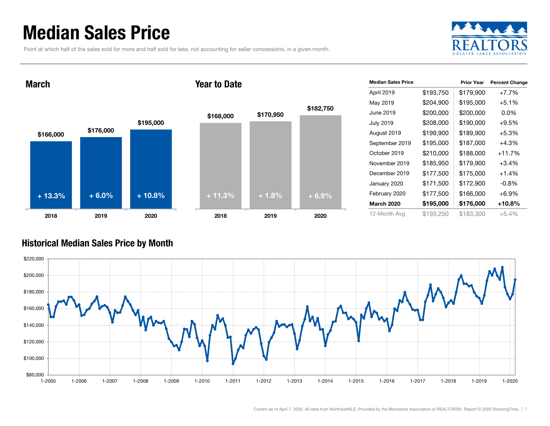### Median Sales Price

Point at which half of the sales sold for more and half sold for less, not accounting for seller concessions, in a given month.



\$166,000 \$176,000 \$195,000 2018 2019 2020 March\$168,000 \$170,950 \$182,750 2018 2019 2020 Year to Date+ 13.3% $+ 6.0\%$  + 10.8% + 11.3% + 1.8% + 6.9%

| <b>Median Sales Price</b> |           | <b>Prior Year</b> | <b>Percent Change</b> |
|---------------------------|-----------|-------------------|-----------------------|
| April 2019                | \$193,750 | \$179,900         | $+7.7%$               |
| May 2019                  | \$204,900 | \$195,000         | $+5.1\%$              |
| June 2019                 | \$200,000 | \$200,000         | $0.0\%$               |
| <b>July 2019</b>          | \$208,000 | \$190,000         | $+9.5%$               |
| August 2019               | \$199,900 | \$189,900         | +5.3%                 |
| September 2019            | \$195,000 | \$187,000         | +4.3%                 |
| October 2019              | \$210,000 | \$188,000         | +11.7%                |
| November 2019             | \$185,950 | \$179,900         | $+3.4%$               |
| December 2019             | \$177,500 | \$175,000         | $+1.4%$               |
| January 2020              | \$171,500 | \$172,900         | $-0.8%$               |
| February 2020             | \$177,500 | \$166,000         | $+6.9%$               |
| <b>March 2020</b>         | \$195,000 | \$176,000         | +10.8%                |
| 12-Month Avg              | \$193,250 | \$183,300         | +5.4%                 |

#### Historical Median Sales Price by Month

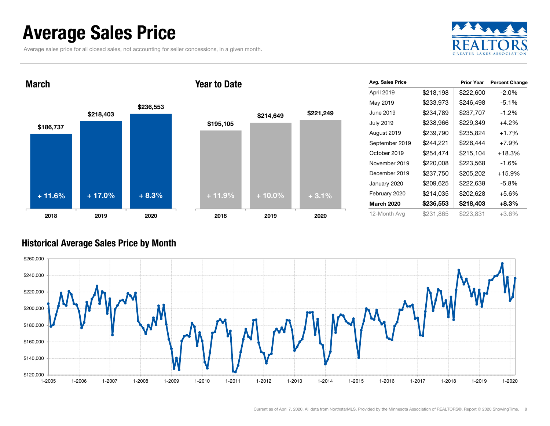### Average Sales Price

Average sales price for all closed sales, not accounting for seller concessions, in a given month.



March



| \$195,105 | \$214,649 | \$221,249 |
|-----------|-----------|-----------|
| $+11.9%$  | $+10.0\%$ | $+3.1%$   |
| 2018      | 2019      | 2020      |

Year to Date

| Avg. Sales Price  |           | <b>Prior Year</b> | <b>Percent Change</b> |
|-------------------|-----------|-------------------|-----------------------|
| April 2019        | \$218,198 | \$222,600         | $-2.0%$               |
| May 2019          | \$233,973 | \$246,498         | $-5.1\%$              |
| June 2019         | \$234,789 | \$237,707         | $-1.2\%$              |
| <b>July 2019</b>  | \$238,966 | \$229,349         | $+4.2%$               |
| August 2019       | \$239,790 | \$235,824         | $+1.7%$               |
| September 2019    | \$244,221 | \$226,444         | $+7.9\%$              |
| October 2019      | \$254,474 | \$215,104         | +18.3%                |
| November 2019     | \$220,008 | \$223,568         | $-1.6%$               |
| December 2019     | \$237,750 | \$205,202         | $+15.9%$              |
| January 2020      | \$209,625 | \$222,638         | -5.8%                 |
| February 2020     | \$214,035 | \$202,628         | $+5.6%$               |
| <b>March 2020</b> | \$236,553 | \$218,403         | $+8.3%$               |
| 12-Month Avg      | \$231,865 | \$223,831         | $+3.6%$               |

#### Historical Average Sales Price by Month

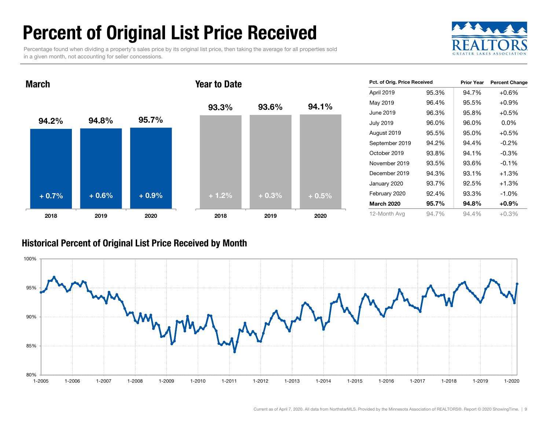## Percent of Original List Price Received

Percentage found when dividing a property's sales price by its original list price, then taking the average for all properties sold in a given month, not accounting for seller concessions.





| Pct. of Orig. Price Received |       | <b>Prior Year</b> | <b>Percent Change</b> |
|------------------------------|-------|-------------------|-----------------------|
| April 2019                   | 95.3% | 94.7%             | $+0.6%$               |
| May 2019                     | 96.4% | 95.5%             | $+0.9\%$              |
| June 2019                    | 96.3% | 95.8%             | $+0.5%$               |
| <b>July 2019</b>             | 96.0% | 96.0%             | $0.0\%$               |
| August 2019                  | 95.5% | 95.0%             | $+0.5%$               |
| September 2019               | 94.2% | 94.4%             | $-0.2\%$              |
| October 2019                 | 93.8% | 94.1%             | $-0.3\%$              |
| November 2019                | 93.5% | 93.6%             | $-0.1%$               |
| December 2019                | 94.3% | 93.1%             | $+1.3%$               |
| January 2020                 | 93.7% | 92.5%             | $+1.3%$               |
| February 2020                | 92.4% | 93.3%             | $-1.0\%$              |
| <b>March 2020</b>            | 95.7% | 94.8%             | $+0.9\%$              |
| 12-Month Avg                 | 94.7% | 94.4%             | $+0.3\%$              |

#### Historical Percent of Original List Price Received by Month

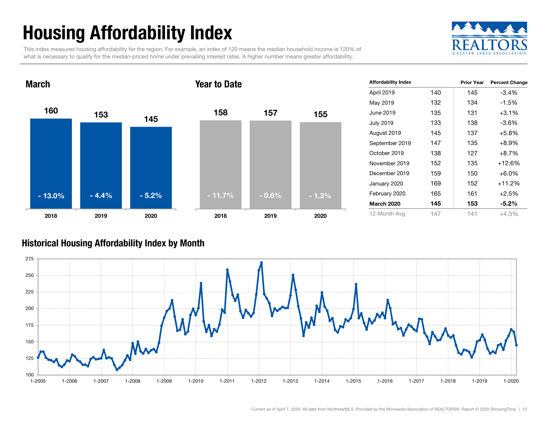# Housing Affordability Index

This index measures housing affordability for the region. For example, an index of 120 means the median household income is 120% of what is necessary to qualify for the median-priced home under prevailing interest rates. A higher number means greater affordability.





| <b>Affordability Index</b> |     | <b>Prior Year</b> | <b>Percent Change</b> |
|----------------------------|-----|-------------------|-----------------------|
| April 2019                 | 140 | 145               | -3.4%                 |
| May 2019                   | 132 | 134               | -1.5%                 |
| June 2019                  | 135 | 131               | $+3.1%$               |
| <b>July 2019</b>           | 133 | 138               | -3.6%                 |
| August 2019                | 145 | 137               | $+5.8%$               |
| September 2019             | 147 | 135               | $+8.9\%$              |
| October 2019               | 138 | 127               | $+8.7%$               |
| November 2019              | 152 | 135               | $+12.6%$              |
| December 2019              | 159 | 150               | $+6.0%$               |
| January 2020               | 169 | 152               | $+11.2%$              |
| February 2020              | 165 | 161               | $+2.5%$               |
| <b>March 2020</b>          | 145 | 153               | $-5.2\%$              |
| 12-Month Avg               | 147 | 141               | $+4.3%$               |

#### Historical Housing Affordability Index by Mont h

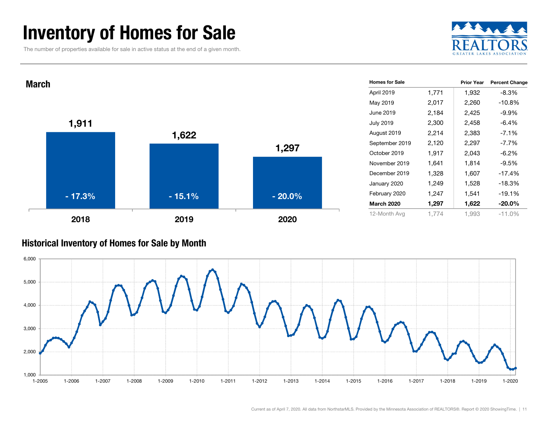### Inventory of Homes for Sale

The number of properties available for sale in active status at the end of a given month.





#### Historical Inventory of Homes for Sale by Month

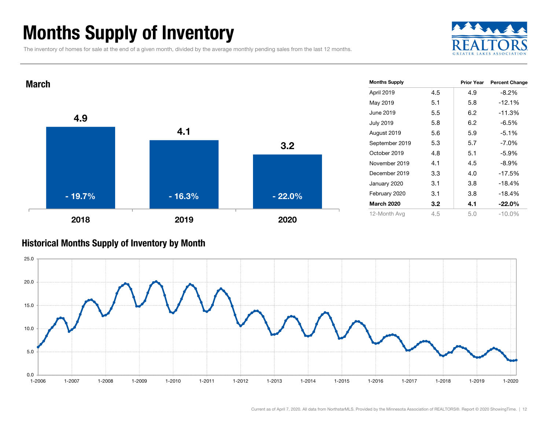### Months Supply of Inventory

The inventory of homes for sale at the end of a given month, divided by the average monthly pending sales from the last 12 months.





#### Historical Months Supply of Inventory by Month